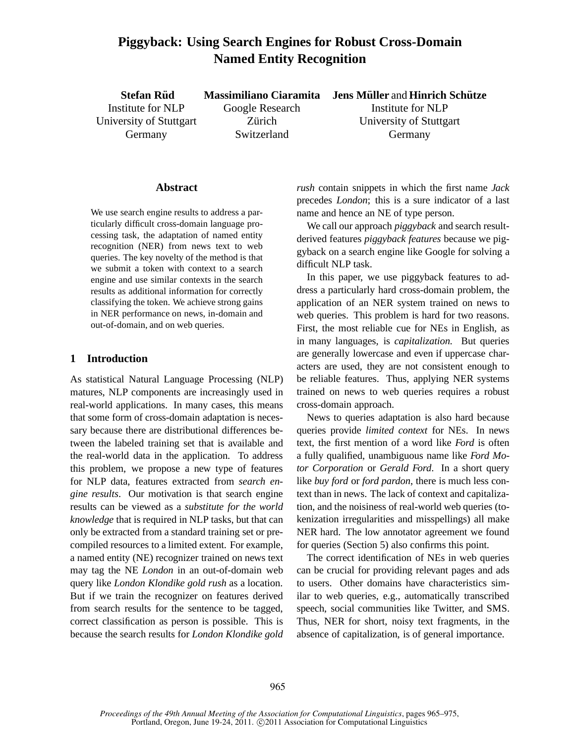# **Piggyback: Using Search Engines for Robust Cross-Domain Named Entity Recognition**

**Stefan Riid** Institute for NLP University of Stuttgart Germany **Massimiliano Ciaramita** Google Research Zürich Switzerland **Jens Muller ¨** and **Hinrich Schutze ¨** Institute for NLP University of Stuttgart Germany

#### **Abstract**

We use search engine results to address a particularly difficult cross-domain language processing task, the adaptation of named entity recognition (NER) from news text to web queries. The key novelty of the method is that we submit a token with context to a search engine and use similar contexts in the search results as additional information for correctly classifying the token. We achieve strong gains in NER performance on news, in-domain and out-of-domain, and on web queries.

# **1 Introduction**

As statistical Natural Language Processing (NLP) matures, NLP components are increasingly used in real-world applications. In many cases, this means that some form of cross-domain adaptation is necessary because there are distributional differences between the labeled training set that is available and the real-world data in the application. To address this problem, we propose a new type of features for NLP data, features extracted from *search engine results*. Our motivation is that search engine results can be viewed as a *substitute for the world knowledge* that is required in NLP tasks, but that can only be extracted from a standard training set or precompiled resources to a limited extent. For example, a named entity (NE) recognizer trained on news text may tag the NE *London* in an out-of-domain web query like *London Klondike gold rush* as a location. But if we train the recognizer on features derived from search results for the sentence to be tagged, correct classification as person is possible. This is because the search results for *London Klondike gold*

*rush* contain snippets in which the first name *Jack* precedes *London*; this is a sure indicator of a last name and hence an NE of type person.

We call our approach *piggyback* and search resultderived features *piggyback features* because we piggyback on a search engine like Google for solving a difficult NLP task.

In this paper, we use piggyback features to address a particularly hard cross-domain problem, the application of an NER system trained on news to web queries. This problem is hard for two reasons. First, the most reliable cue for NEs in English, as in many languages, is *capitalization.* But queries are generally lowercase and even if uppercase characters are used, they are not consistent enough to be reliable features. Thus, applying NER systems trained on news to web queries requires a robust cross-domain approach.

News to queries adaptation is also hard because queries provide *limited context* for NEs. In news text, the first mention of a word like *Ford* is often a fully qualified, unambiguous name like *Ford Motor Corporation* or *Gerald Ford*. In a short query like *buy ford* or *ford pardon*, there is much less context than in news. The lack of context and capitalization, and the noisiness of real-world web queries (tokenization irregularities and misspellings) all make NER hard. The low annotator agreement we found for queries (Section 5) also confirms this point.

The correct identification of NEs in web queries can be crucial for providing relevant pages and ads to users. Other domains have characteristics similar to web queries, e.g., automatically transcribed speech, social communities like Twitter, and SMS. Thus, NER for short, noisy text fragments, in the absence of capitalization, is of general importance.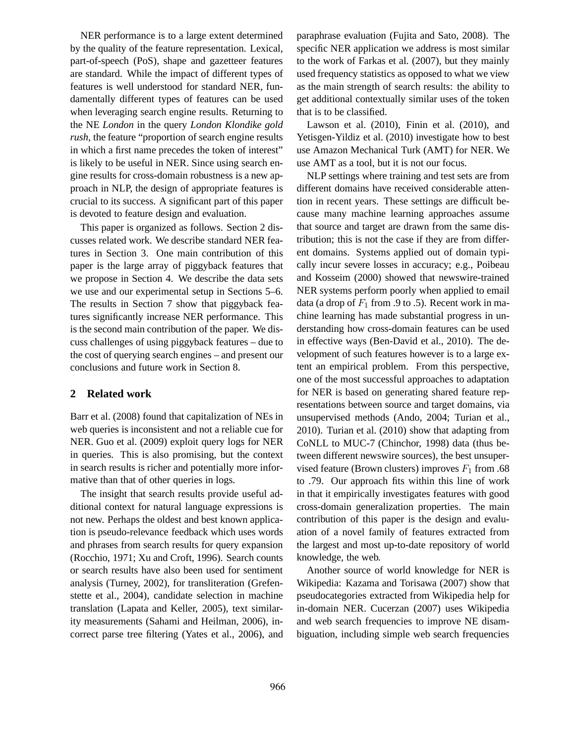NER performance is to a large extent determined by the quality of the feature representation. Lexical, part-of-speech (PoS), shape and gazetteer features are standard. While the impact of different types of features is well understood for standard NER, fundamentally different types of features can be used when leveraging search engine results. Returning to the NE *London* in the query *London Klondike gold rush*, the feature "proportion of search engine results in which a first name precedes the token of interest" is likely to be useful in NER. Since using search engine results for cross-domain robustness is a new approach in NLP, the design of appropriate features is crucial to its success. A significant part of this paper is devoted to feature design and evaluation.

This paper is organized as follows. Section 2 discusses related work. We describe standard NER features in Section 3. One main contribution of this paper is the large array of piggyback features that we propose in Section 4. We describe the data sets we use and our experimental setup in Sections 5–6. The results in Section 7 show that piggyback features significantly increase NER performance. This is the second main contribution of the paper. We discuss challenges of using piggyback features – due to the cost of querying search engines – and present our conclusions and future work in Section 8.

### **2 Related work**

Barr et al. (2008) found that capitalization of NEs in web queries is inconsistent and not a reliable cue for NER. Guo et al. (2009) exploit query logs for NER in queries. This is also promising, but the context in search results is richer and potentially more informative than that of other queries in logs.

The insight that search results provide useful additional context for natural language expressions is not new. Perhaps the oldest and best known application is pseudo-relevance feedback which uses words and phrases from search results for query expansion (Rocchio, 1971; Xu and Croft, 1996). Search counts or search results have also been used for sentiment analysis (Turney, 2002), for transliteration (Grefenstette et al., 2004), candidate selection in machine translation (Lapata and Keller, 2005), text similarity measurements (Sahami and Heilman, 2006), incorrect parse tree filtering (Yates et al., 2006), and paraphrase evaluation (Fujita and Sato, 2008). The specific NER application we address is most similar to the work of Farkas et al. (2007), but they mainly used frequency statistics as opposed to what we view as the main strength of search results: the ability to get additional contextually similar uses of the token that is to be classified.

Lawson et al. (2010), Finin et al. (2010), and Yetisgen-Yildiz et al. (2010) investigate how to best use Amazon Mechanical Turk (AMT) for NER. We use AMT as a tool, but it is not our focus.

NLP settings where training and test sets are from different domains have received considerable attention in recent years. These settings are difficult because many machine learning approaches assume that source and target are drawn from the same distribution; this is not the case if they are from different domains. Systems applied out of domain typically incur severe losses in accuracy; e.g., Poibeau and Kosseim (2000) showed that newswire-trained NER systems perform poorly when applied to email data (a drop of  $F_1$  from .9 to .5). Recent work in machine learning has made substantial progress in understanding how cross-domain features can be used in effective ways (Ben-David et al., 2010). The development of such features however is to a large extent an empirical problem. From this perspective, one of the most successful approaches to adaptation for NER is based on generating shared feature representations between source and target domains, via unsupervised methods (Ando, 2004; Turian et al., 2010). Turian et al. (2010) show that adapting from CoNLL to MUC-7 (Chinchor, 1998) data (thus between different newswire sources), the best unsupervised feature (Brown clusters) improves  $F_1$  from .68 to .79. Our approach fits within this line of work in that it empirically investigates features with good cross-domain generalization properties. The main contribution of this paper is the design and evaluation of a novel family of features extracted from the largest and most up-to-date repository of world knowledge, the web.

Another source of world knowledge for NER is Wikipedia: Kazama and Torisawa (2007) show that pseudocategories extracted from Wikipedia help for in-domain NER. Cucerzan (2007) uses Wikipedia and web search frequencies to improve NE disambiguation, including simple web search frequencies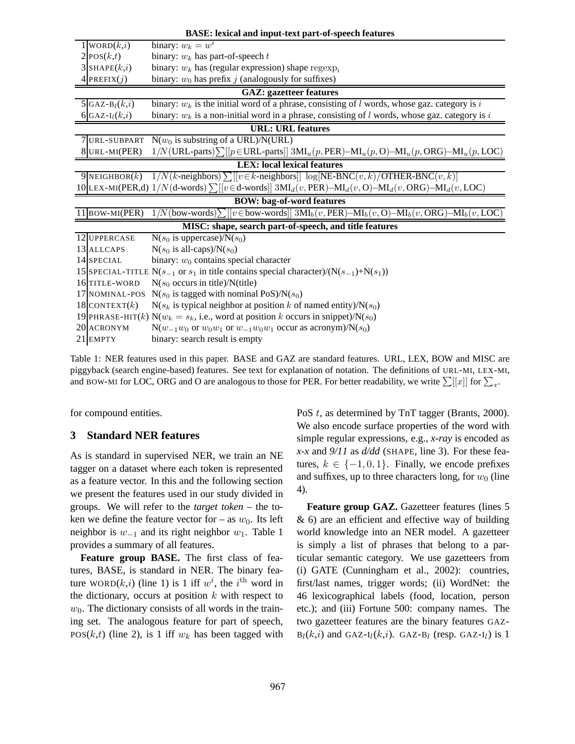| <b>BASE:</b> lexical and input-text part-of-speech features |                                                                                                       |                                                                                                                      |  |  |  |  |  |  |  |
|-------------------------------------------------------------|-------------------------------------------------------------------------------------------------------|----------------------------------------------------------------------------------------------------------------------|--|--|--|--|--|--|--|
|                                                             | $1$ WORD $(k,i)$                                                                                      | binary: $w_k = w^i$                                                                                                  |  |  |  |  |  |  |  |
|                                                             | $2$ POS $(k,t)$                                                                                       | binary: $w_k$ has part-of-speech $t$                                                                                 |  |  |  |  |  |  |  |
|                                                             | $3 $ SHAPE $(k,i)$                                                                                    | binary: $w_k$ has (regular expression) shape regexp <sub>i</sub>                                                     |  |  |  |  |  |  |  |
|                                                             | 4 PREFIX $(j)$                                                                                        | binary: $w_0$ has prefix j (analogously for suffixes)                                                                |  |  |  |  |  |  |  |
|                                                             | <b>GAZ: gazetteer features</b>                                                                        |                                                                                                                      |  |  |  |  |  |  |  |
|                                                             | 5 GAZ-B <sub>l</sub> $(k,i)$                                                                          | binary: $w_k$ is the initial word of a phrase, consisting of l words, whose gaz. category is i                       |  |  |  |  |  |  |  |
|                                                             | 6 GAZ- $I_l(k,i)$                                                                                     | binary: $w_k$ is a non-initial word in a phrase, consisting of l words, whose gaz. category is i                     |  |  |  |  |  |  |  |
|                                                             | <b>URL: URL features</b>                                                                              |                                                                                                                      |  |  |  |  |  |  |  |
|                                                             | URL-SUBPART                                                                                           | $N(w_0)$ is substring of a URL)/N(URL)                                                                               |  |  |  |  |  |  |  |
|                                                             | 8URL-MI(PER)                                                                                          | $1/N$ (URL-parts) $\sum$ [[ $p \in$ URL-parts]] $3ML_u(p,PER)$ — $ML_u(p, O)$ — $ML_u(p, ORG)$ — $ML_u(p, LOC)$      |  |  |  |  |  |  |  |
|                                                             |                                                                                                       | <b>LEX:</b> local lexical features                                                                                   |  |  |  |  |  |  |  |
|                                                             | 9 NEIGHBOR $(k)$                                                                                      | $1/N(k$ -neighbors) $\sum$ [[v ∈ k-neighbors]] log[NE-BNC(v, k)/OTHER-BNC(v, k)]                                     |  |  |  |  |  |  |  |
|                                                             |                                                                                                       | 10 LEX-MI(PER,d) $1/N$ (d-words) $\sum$ $[ v \in$ d-words] $3ML$ (v, PER)- $ML$ (v, O)- $ML$ (v, ORG)- $ML$ (v, LOC) |  |  |  |  |  |  |  |
|                                                             |                                                                                                       | <b>BOW:</b> bag-of-word features                                                                                     |  |  |  |  |  |  |  |
|                                                             | 11 BOW-MI(PER)                                                                                        | $1/N$ (bow-words) $\sum$ [[v $\in$ bow-words]] $3Ml_b(v,PER)$ — $Ml_b(v, O)$ — $Ml_b(v, ORG)$ — $Ml_b(v, LOC)$       |  |  |  |  |  |  |  |
|                                                             |                                                                                                       | MISC: shape, search part-of-speech, and title features                                                               |  |  |  |  |  |  |  |
|                                                             | 12 UPPERCASE                                                                                          | $N(s_0 \text{ is uppercase})/N(s_0)$                                                                                 |  |  |  |  |  |  |  |
|                                                             | 13 ALLCAPS                                                                                            | $N(s_0 \text{ is all-caps})/N(s_0)$                                                                                  |  |  |  |  |  |  |  |
|                                                             | 14 SPECIAL                                                                                            | binary: $w_0$ contains special character                                                                             |  |  |  |  |  |  |  |
|                                                             | 15 SPECIAL-TITLE N( $s_{-1}$ or $s_1$ in title contains special character)/(N( $s_{-1}$ )+N( $s_1$ )) |                                                                                                                      |  |  |  |  |  |  |  |
|                                                             | 16TITLE-WORD                                                                                          | $N(s_0)$ occurs in title)/N(title)                                                                                   |  |  |  |  |  |  |  |
|                                                             | 17 NOMINAL-POS                                                                                        | $N(s_0$ is tagged with nominal PoS)/ $N(s_0)$                                                                        |  |  |  |  |  |  |  |
|                                                             | 18 CONTEXT $(k)$                                                                                      | $N(s_k$ is typical neighbor at position k of named entity)/ $N(s_0)$                                                 |  |  |  |  |  |  |  |
|                                                             |                                                                                                       | 19 PHRASE-HIT(k) N( $w_k = s_k$ , i.e., word at position k occurs in snippet)/N( $s_0$ )                             |  |  |  |  |  |  |  |
|                                                             | 20 ACRONYM                                                                                            | $N(w_{-1}w_0$ or $w_0w_1$ or $w_{-1}w_0w_1$ occur as acronym)/ $N(s_0)$                                              |  |  |  |  |  |  |  |
|                                                             | 21 EMPTY                                                                                              | binary: search result is empty                                                                                       |  |  |  |  |  |  |  |

Table 1: NER features used in this paper. BASE and GAZ are standard features. URL, LEX, BOW and MISC are piggyback (search engine-based) features. See text for explanation of notation. The definitions of URL-MI, LEX-MI, and BOW-MI for LOC, ORG and O are analogous to those for PER. For better readability, we write  $\sum[[x]]$  for  $\sum_x$ .

for compound entities.

#### **3 Standard NER features**

As is standard in supervised NER, we train an NE tagger on a dataset where each token is represented as a feature vector. In this and the following section we present the features used in our study divided in groups. We will refer to the *target token* – the token we define the feature vector for – as  $w_0$ . Its left neighbor is  $w_{-1}$  and its right neighbor  $w_1$ . Table 1 provides a summary of all features.

**Feature group BASE.** The first class of features, BASE, is standard in NER. The binary feature WORD $(k,i)$  (line 1) is 1 iff  $w^i$ , the i<sup>th</sup> word in the dictionary, occurs at position  $k$  with respect to  $w_0$ . The dictionary consists of all words in the training set. The analogous feature for part of speech, POS( $k,t$ ) (line 2), is 1 iff  $w_k$  has been tagged with PoS t, as determined by TnT tagger (Brants, 2000). We also encode surface properties of the word with simple regular expressions, e.g., *x-ray* is encoded as *x-x* and *9/11* as *d/dd* (SHAPE, line 3). For these features,  $k \in \{-1, 0, 1\}$ . Finally, we encode prefixes and suffixes, up to three characters long, for  $w_0$  (line 4).

**Feature group GAZ.** Gazetteer features (lines 5 & 6) are an efficient and effective way of building world knowledge into an NER model. A gazetteer is simply a list of phrases that belong to a particular semantic category. We use gazetteers from (i) GATE (Cunningham et al., 2002): countries, first/last names, trigger words; (ii) WordNet: the 46 lexicographical labels (food, location, person etc.); and (iii) Fortune 500: company names. The two gazetteer features are the binary features GAZ- $B_l(k,i)$  and GAZ-I<sub>l</sub>(k,i). GAZ-B<sub>l</sub> (resp. GAZ-I<sub>l</sub>) is 1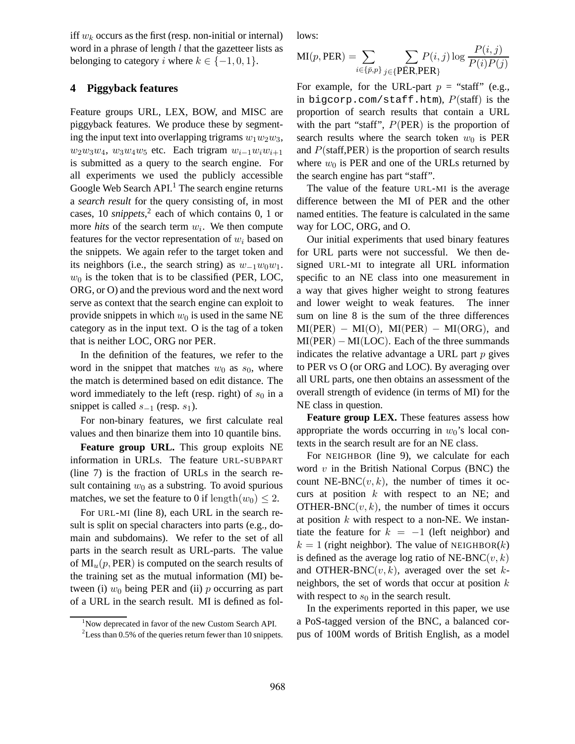iff  $w_k$  occurs as the first (resp. non-initial or internal) word in a phrase of length  $l$  that the gazetteer lists as belonging to category i where  $k \in \{-1, 0, 1\}$ .

### **4 Piggyback features**

Feature groups URL, LEX, BOW, and MISC are piggyback features. We produce these by segmenting the input text into overlapping trigrams  $w_1w_2w_3$ ,  $w_2w_3w_4$ ,  $w_3w_4w_5$  etc. Each trigram  $w_{i-1}w_iw_{i+1}$ is submitted as a query to the search engine. For all experiments we used the publicly accessible Google Web Search API.<sup>1</sup> The search engine returns a *search result* for the query consisting of, in most cases, 10 *snippets*, 2 each of which contains 0, 1 or more *hits* of the search term  $w_i$ . We then compute features for the vector representation of  $w_i$  based on the snippets. We again refer to the target token and its neighbors (i.e., the search string) as  $w_{-1}w_0w_1$ .  $w_0$  is the token that is to be classified (PER, LOC, ORG, or O) and the previous word and the next word serve as context that the search engine can exploit to provide snippets in which  $w_0$  is used in the same NE category as in the input text. O is the tag of a token that is neither LOC, ORG nor PER.

In the definition of the features, we refer to the word in the snippet that matches  $w_0$  as  $s_0$ , where the match is determined based on edit distance. The word immediately to the left (resp. right) of  $s_0$  in a snippet is called  $s_{-1}$  (resp.  $s_1$ ).

For non-binary features, we first calculate real values and then binarize them into 10 quantile bins.

**Feature group URL.** This group exploits NE information in URLs. The feature URL-SUBPART (line 7) is the fraction of URLs in the search result containing  $w_0$  as a substring. To avoid spurious matches, we set the feature to 0 if length $(w_0) \leq 2$ .

For URL-MI (line 8), each URL in the search result is split on special characters into parts (e.g., domain and subdomains). We refer to the set of all parts in the search result as URL-parts. The value of  $MI_u(p,PER)$  is computed on the search results of the training set as the mutual information (MI) between (i)  $w_0$  being PER and (ii) p occurring as part of a URL in the search result. MI is defined as follows:

$$
MI(p,PER) = \sum_{i \in \{\bar{p}, p\}} \sum_{j \in \{\text{PER}, \text{PER}\}} P(i, j) \log \frac{P(i, j)}{P(i)P(j)}
$$

For example, for the URL-part  $p =$  "staff" (e.g., in bigcorp.com/staff.htm),  $P(\text{staff})$  is the proportion of search results that contain a URL with the part "staff",  $P(PER)$  is the proportion of search results where the search token  $w_0$  is PER and  $P(\text{staff}, \text{PER})$  is the proportion of search results where  $w_0$  is PER and one of the URLs returned by the search engine has part "staff".

The value of the feature URL-MI is the average difference between the MI of PER and the other named entities. The feature is calculated in the same way for LOC, ORG, and O.

Our initial experiments that used binary features for URL parts were not successful. We then designed URL-MI to integrate all URL information specific to an NE class into one measurement in a way that gives higher weight to strong features and lower weight to weak features. The inner sum on line 8 is the sum of the three differences  $MI(PER) - MI(O)$ ,  $MI(PER) - MI(ORG)$ , and  $MI(PER) - MI(LOC)$ . Each of the three summands indicates the relative advantage a URL part  $p$  gives to PER vs O (or ORG and LOC). By averaging over all URL parts, one then obtains an assessment of the overall strength of evidence (in terms of MI) for the NE class in question.

**Feature group LEX.** These features assess how appropriate the words occurring in  $w_0$ 's local contexts in the search result are for an NE class.

For NEIGHBOR (line 9), we calculate for each word  $v$  in the British National Corpus (BNC) the count NE-BNC $(v, k)$ , the number of times it occurs at position  $k$  with respect to an NE; and OTHER-BNC $(v, k)$ , the number of times it occurs at position  $k$  with respect to a non-NE. We instantiate the feature for  $k = -1$  (left neighbor) and  $k = 1$  (right neighbor). The value of NEIGHBOR(k) is defined as the average log ratio of NE-BNC $(v, k)$ and OTHER-BNC $(v, k)$ , averaged over the set kneighbors, the set of words that occur at position  $k$ with respect to  $s_0$  in the search result.

In the experiments reported in this paper, we use a PoS-tagged version of the BNC, a balanced corpus of 100M words of British English, as a model

<sup>&</sup>lt;sup>1</sup>Now deprecated in favor of the new Custom Search API.

 $2$ Less than 0.5% of the queries return fewer than 10 snippets.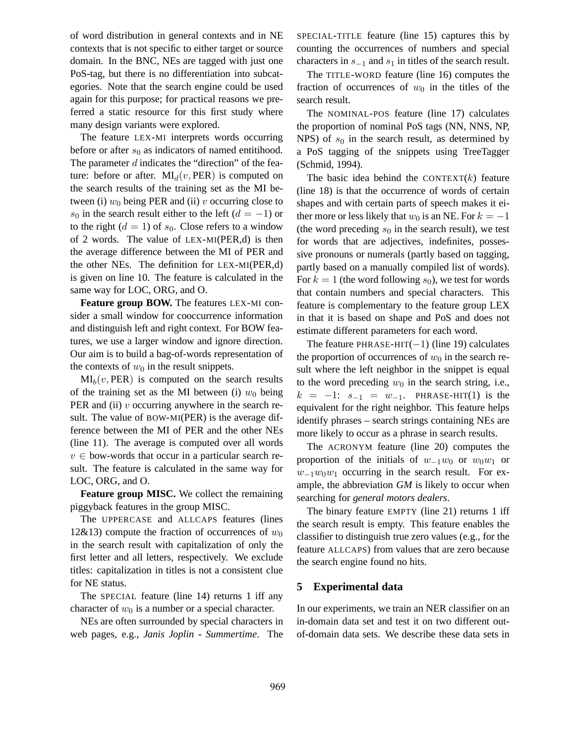of word distribution in general contexts and in NE contexts that is not specific to either target or source domain. In the BNC, NEs are tagged with just one PoS-tag, but there is no differentiation into subcategories. Note that the search engine could be used again for this purpose; for practical reasons we preferred a static resource for this first study where many design variants were explored.

The feature LEX-MI interprets words occurring before or after  $s_0$  as indicators of named entitihood. The parameter  $d$  indicates the "direction" of the feature: before or after.  $MI_d(v, PER)$  is computed on the search results of the training set as the MI between (i)  $w_0$  being PER and (ii) v occurring close to s<sub>0</sub> in the search result either to the left  $(d = -1)$  or to the right  $(d = 1)$  of  $s_0$ . Close refers to a window of 2 words. The value of LEX-MI(PER,d) is then the average difference between the MI of PER and the other NEs. The definition for LEX-MI(PER,d) is given on line 10. The feature is calculated in the same way for LOC, ORG, and O.

**Feature group BOW.** The features LEX-MI consider a small window for cooccurrence information and distinguish left and right context. For BOW features, we use a larger window and ignore direction. Our aim is to build a bag-of-words representation of the contexts of  $w_0$  in the result snippets.

 $MI_b(v, PER)$  is computed on the search results of the training set as the MI between (i)  $w_0$  being PER and (ii)  $v$  occurring anywhere in the search result. The value of BOW-MI(PER) is the average difference between the MI of PER and the other NEs (line 11). The average is computed over all words  $v \in$  bow-words that occur in a particular search result. The feature is calculated in the same way for LOC, ORG, and O.

**Feature group MISC.** We collect the remaining piggyback features in the group MISC.

The UPPERCASE and ALLCAPS features (lines 12&13) compute the fraction of occurrences of  $w_0$ in the search result with capitalization of only the first letter and all letters, respectively. We exclude titles: capitalization in titles is not a consistent clue for NE status.

The SPECIAL feature (line 14) returns 1 iff any character of  $w_0$  is a number or a special character.

NEs are often surrounded by special characters in web pages, e.g., *Janis Joplin - Summertime*. The SPECIAL-TITLE feature (line 15) captures this by counting the occurrences of numbers and special characters in  $s_{-1}$  and  $s_1$  in titles of the search result.

The TITLE-WORD feature (line 16) computes the fraction of occurrences of  $w_0$  in the titles of the search result.

The NOMINAL-POS feature (line 17) calculates the proportion of nominal PoS tags (NN, NNS, NP, NPS) of  $s_0$  in the search result, as determined by a PoS tagging of the snippets using TreeTagger (Schmid, 1994).

The basic idea behind the CONTEXT $(k)$  feature (line 18) is that the occurrence of words of certain shapes and with certain parts of speech makes it either more or less likely that  $w_0$  is an NE. For  $k = -1$ (the word preceding  $s_0$  in the search result), we test for words that are adjectives, indefinites, possessive pronouns or numerals (partly based on tagging, partly based on a manually compiled list of words). For  $k = 1$  (the word following  $s<sub>0</sub>$ ), we test for words that contain numbers and special characters. This feature is complementary to the feature group LEX in that it is based on shape and PoS and does not estimate different parameters for each word.

The feature PHRASE-HIT $(-1)$  (line 19) calculates the proportion of occurrences of  $w_0$  in the search result where the left neighbor in the snippet is equal to the word preceding  $w_0$  in the search string, i.e.,  $k = -1$ :  $s_{-1} = w_{-1}$ . PHRASE-HIT(1) is the equivalent for the right neighbor. This feature helps identify phrases – search strings containing NEs are more likely to occur as a phrase in search results.

The ACRONYM feature (line 20) computes the proportion of the initials of  $w_{-1}w_0$  or  $w_0w_1$  or  $w_{-1}w_0w_1$  occurring in the search result. For example, the abbreviation *GM* is likely to occur when searching for *general motors dealers*.

The binary feature EMPTY (line 21) returns 1 iff the search result is empty. This feature enables the classifier to distinguish true zero values (e.g., for the feature ALLCAPS) from values that are zero because the search engine found no hits.

### **5 Experimental data**

In our experiments, we train an NER classifier on an in-domain data set and test it on two different outof-domain data sets. We describe these data sets in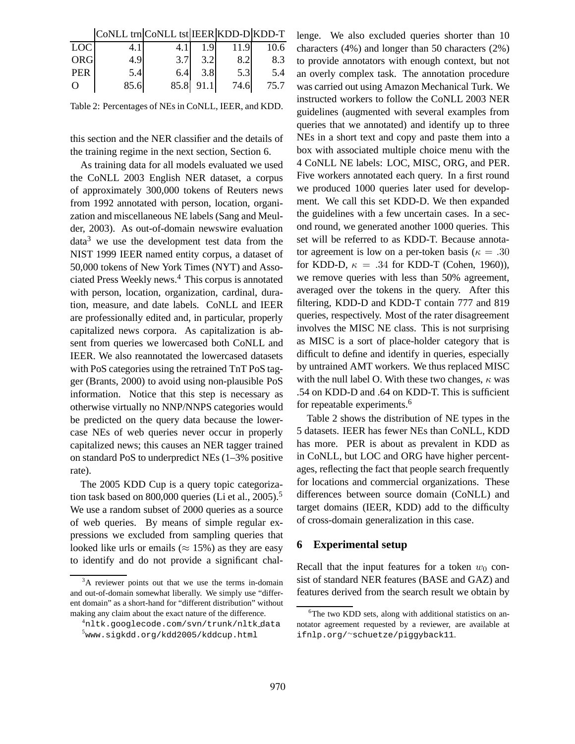|            | CoNLL trn CoNLL tst IEER KDD-D KDD-T |      |                  |      |      |
|------------|--------------------------------------|------|------------------|------|------|
| <b>LOC</b> |                                      |      |                  | 11.9 | 10.6 |
| <b>ORG</b> | 4.9                                  | 3.7  | 3.21             |      | 8.3  |
| <b>PER</b> | 5.4                                  | 6.4  | 3.8 <sup>l</sup> | 5.3  | 5.4  |
| $\Omega$   | 85.6                                 | 85.8 | 91.1             | 74.6 | 75.7 |

Table 2: Percentages of NEs in CoNLL, IEER, and KDD.

this section and the NER classifier and the details of the training regime in the next section, Section 6.

As training data for all models evaluated we used the CoNLL 2003 English NER dataset, a corpus of approximately 300,000 tokens of Reuters news from 1992 annotated with person, location, organization and miscellaneous NE labels (Sang and Meulder, 2003). As out-of-domain newswire evaluation  $data<sup>3</sup>$  we use the development test data from the NIST 1999 IEER named entity corpus, a dataset of 50,000 tokens of New York Times (NYT) and Associated Press Weekly news.<sup>4</sup> This corpus is annotated with person, location, organization, cardinal, duration, measure, and date labels. CoNLL and IEER are professionally edited and, in particular, properly capitalized news corpora. As capitalization is absent from queries we lowercased both CoNLL and IEER. We also reannotated the lowercased datasets with PoS categories using the retrained TnT PoS tagger (Brants, 2000) to avoid using non-plausible PoS information. Notice that this step is necessary as otherwise virtually no NNP/NNPS categories would be predicted on the query data because the lowercase NEs of web queries never occur in properly capitalized news; this causes an NER tagger trained on standard PoS to underpredict NEs (1–3% positive rate).

The 2005 KDD Cup is a query topic categorization task based on 800,000 queries (Li et al., 2005).<sup>5</sup> We use a random subset of 2000 queries as a source of web queries. By means of simple regular expressions we excluded from sampling queries that looked like urls or emails ( $\approx 15\%$ ) as they are easy to identify and do not provide a significant challenge. We also excluded queries shorter than 10 characters (4%) and longer than 50 characters (2%) to provide annotators with enough context, but not an overly complex task. The annotation procedure was carried out using Amazon Mechanical Turk. We instructed workers to follow the CoNLL 2003 NER guidelines (augmented with several examples from queries that we annotated) and identify up to three NEs in a short text and copy and paste them into a box with associated multiple choice menu with the 4 CoNLL NE labels: LOC, MISC, ORG, and PER. Five workers annotated each query. In a first round we produced 1000 queries later used for development. We call this set KDD-D. We then expanded the guidelines with a few uncertain cases. In a second round, we generated another 1000 queries. This set will be referred to as KDD-T. Because annotator agreement is low on a per-token basis ( $\kappa = .30$ ) for KDD-D,  $\kappa = .34$  for KDD-T (Cohen, 1960)), we remove queries with less than 50% agreement, averaged over the tokens in the query. After this filtering, KDD-D and KDD-T contain 777 and 819 queries, respectively. Most of the rater disagreement involves the MISC NE class. This is not surprising as MISC is a sort of place-holder category that is difficult to define and identify in queries, especially by untrained AMT workers. We thus replaced MISC with the null label O. With these two changes,  $\kappa$  was .54 on KDD-D and .64 on KDD-T. This is sufficient for repeatable experiments.<sup>6</sup>

Table 2 shows the distribution of NE types in the 5 datasets. IEER has fewer NEs than CoNLL, KDD has more. PER is about as prevalent in KDD as in CoNLL, but LOC and ORG have higher percentages, reflecting the fact that people search frequently for locations and commercial organizations. These differences between source domain (CoNLL) and target domains (IEER, KDD) add to the difficulty of cross-domain generalization in this case.

#### **6 Experimental setup**

Recall that the input features for a token  $w_0$  consist of standard NER features (BASE and GAZ) and features derived from the search result we obtain by

<sup>&</sup>lt;sup>3</sup>A reviewer points out that we use the terms in-domain and out-of-domain somewhat liberally. We simply use "different domain" as a short-hand for "different distribution" without making any claim about the exact nature of the difference.

<sup>4</sup>nltk.googlecode.com/svn/trunk/nltk data <sup>5</sup>www.sigkdd.org/kdd2005/kddcup.html

<sup>&</sup>lt;sup>6</sup>The two KDD sets, along with additional statistics on annotator agreement requested by a reviewer, are available at ifnlp.org/<sup>∼</sup>schuetze/piggyback11.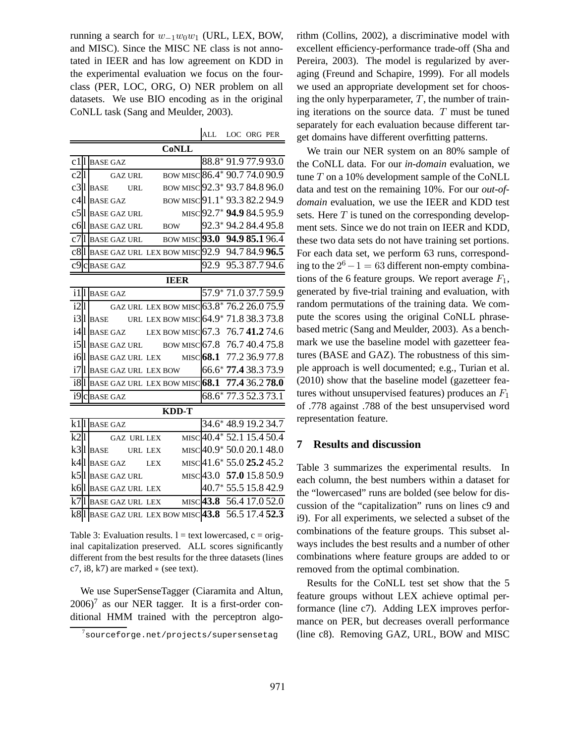running a search for  $w_{-1}w_0w_1$  (URL, LEX, BOW, and MISC). Since the MISC NE class is not annotated in IEER and has low agreement on KDD in the experimental evaluation we focus on the fourclass (PER, LOC, ORG, O) NER problem on all datasets. We use BIO encoding as in the original CoNLL task (Sang and Meulder, 2003).

| ALL | LOC ORG PER |  |
|-----|-------------|--|
|     |             |  |

| <b>CoNLL</b> |              |                                |  |  |  |             |  |                                                                 |  |  |
|--------------|--------------|--------------------------------|--|--|--|-------------|--|-----------------------------------------------------------------|--|--|
|              |              | $c1$   BASE GAZ                |  |  |  |             |  | 88.8* 91.977.993.0                                              |  |  |
| $c2$         |              | <b>GAZ URL</b>                 |  |  |  |             |  | BOW MISC 86.4* 90.7 74.0 90.9                                   |  |  |
|              |              | $c31$ BASE URL                 |  |  |  |             |  | BOW MISC 92.3* 93.7 84.8 96.0                                   |  |  |
|              |              | c4ll BASE GAZ                  |  |  |  |             |  | BOW MISC 91.1* 93.3 82.2 94.9                                   |  |  |
|              |              | c5 <sup>[</sup> ] BASE GAZ URL |  |  |  |             |  | MISC 92.7* 94.9 84.5 95.9                                       |  |  |
|              |              | $\rm{c6}$   BASE GAZ URL BOW   |  |  |  |             |  | 92.3* 94.2 84.4 95.8                                            |  |  |
|              |              |                                |  |  |  |             |  | c7   BASE GAZ URL BOW MISC $93.0$ 94.9 85.1 96.4                |  |  |
|              |              |                                |  |  |  |             |  | $c8$ <sup>l</sup> BASE GAZ URL LEX BOW MISC 92.9 94.7 84.9 96.5 |  |  |
|              |              | c9 c BASE GAZ                  |  |  |  |             |  | 92.9 95.3 87.7 94.6                                             |  |  |
|              |              |                                |  |  |  | <b>IEER</b> |  |                                                                 |  |  |
|              |              | ill BASE GAZ                   |  |  |  |             |  | 57.9* 71.0 37.7 59.9                                            |  |  |
| i2 1         |              |                                |  |  |  |             |  | GAZ URL LEX BOW MISC 63.8* 76.2 26.0 75.9                       |  |  |
|              |              |                                |  |  |  |             |  | $i3$   BASE URL LEX BOW MISC 64.9 <sup>*</sup> 71.8 38.3 73.8   |  |  |
|              |              |                                |  |  |  |             |  | $i4$   BASE GAZ LEX BOW MISC 67.3 76.741.274.6                  |  |  |
|              |              |                                |  |  |  |             |  | i5   BASE GAZ URL BOW MISC 67.8 76.7 40.4 75.8                  |  |  |
|              |              |                                |  |  |  |             |  | i6 l BASE GAZ URL LEX MISC 68.1 77.2 36.9 77.8                  |  |  |
|              |              | i7   BASE GAZ URL LEX BOW      |  |  |  |             |  | 66.6* 77.4 38.3 73.9                                            |  |  |
|              |              |                                |  |  |  |             |  | i8 1 BASE GAZ URL LEX BOW MISC 68.1 77.4 36.2 78.0              |  |  |
|              |              | $i9c$ BASE GAZ                 |  |  |  |             |  | 68.6* 77.3 52.3 73.1                                            |  |  |
|              | <b>KDD-T</b> |                                |  |  |  |             |  |                                                                 |  |  |
|              |              | $k11$ BASE GAZ                 |  |  |  |             |  | 34.6* 48.9 19.2 34.7                                            |  |  |
| k21          |              | <b>GAZ URL LEX</b>             |  |  |  |             |  | MISC40.4* 52.1 15.4 50.4                                        |  |  |
|              |              | $k3$ l BASE URL LEX            |  |  |  |             |  | MISC40.9* 50.0 20.1 48.0                                        |  |  |
|              |              | $k4$   BASE GAZ LEX            |  |  |  |             |  | MISC 41.6* 55.0 25.2 45.2                                       |  |  |
|              |              | k5 l BASE GAZ URL              |  |  |  |             |  | MISC 43.0 57.0 15.8 50.9                                        |  |  |
|              |              | k6 l  base gaz url lex         |  |  |  |             |  | 40.7 * 55.5 15.8 42.9                                           |  |  |
|              |              |                                |  |  |  |             |  | k7 l BASE GAZ URL LEX MISC $43.8$ 56.4 17.0 52.0                |  |  |
|              |              |                                |  |  |  |             |  | k8 1 BASE GAZ URL LEX BOW MISC 43.8 56.5 17.4 52.3              |  |  |

Table 3: Evaluation results.  $l = text$  lowercased,  $c = orig$ inal capitalization preserved. ALL scores significantly different from the best results for the three datasets (lines c7, i8, k7) are marked  $\ast$  (see text).

We use SuperSenseTagger (Ciaramita and Altun,  $2006$ <sup>7</sup> as our NER tagger. It is a first-order conditional HMM trained with the perceptron algorithm (Collins, 2002), a discriminative model with excellent efficiency-performance trade-off (Sha and Pereira, 2003). The model is regularized by averaging (Freund and Schapire, 1999). For all models we used an appropriate development set for choosing the only hyperparameter,  $T$ , the number of training iterations on the source data. T must be tuned separately for each evaluation because different target domains have different overfitting patterns.

We train our NER system on an 80% sample of the CoNLL data. For our *in-domain* evaluation, we tune  $T$  on a 10% development sample of the CoNLL data and test on the remaining 10%. For our *out-ofdomain* evaluation, we use the IEER and KDD test sets. Here  $T$  is tuned on the corresponding development sets. Since we do not train on IEER and KDD, these two data sets do not have training set portions. For each data set, we perform 63 runs, corresponding to the  $2^6 - 1 = 63$  different non-empty combinations of the 6 feature groups. We report average  $F_1$ , generated by five-trial training and evaluation, with random permutations of the training data. We compute the scores using the original CoNLL phrasebased metric (Sang and Meulder, 2003). As a benchmark we use the baseline model with gazetteer features (BASE and GAZ). The robustness of this simple approach is well documented; e.g., Turian et al. (2010) show that the baseline model (gazetteer features without unsupervised features) produces an  $F_1$ of .778 against .788 of the best unsupervised word representation feature.

# **7 Results and discussion**

Table 3 summarizes the experimental results. In each column, the best numbers within a dataset for the "lowercased" runs are bolded (see below for discussion of the "capitalization" runs on lines c9 and i9). For all experiments, we selected a subset of the combinations of the feature groups. This subset always includes the best results and a number of other combinations where feature groups are added to or removed from the optimal combination.

Results for the CoNLL test set show that the 5 feature groups without LEX achieve optimal performance (line c7). Adding LEX improves performance on PER, but decreases overall performance (line c8). Removing GAZ, URL, BOW and MISC

 $7$ sourceforge.net/projects/supersensetag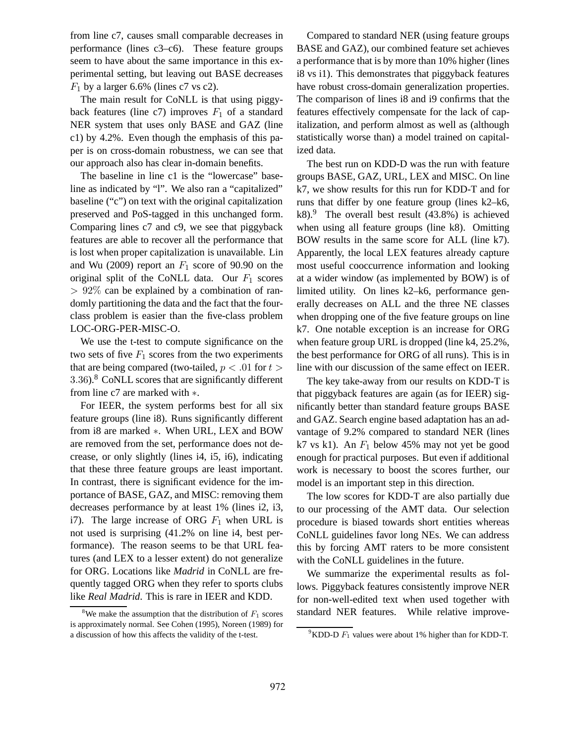from line c7, causes small comparable decreases in performance (lines c3–c6). These feature groups seem to have about the same importance in this experimental setting, but leaving out BASE decreases  $F_1$  by a larger 6.6% (lines c7 vs c2).

The main result for CoNLL is that using piggyback features (line c7) improves  $F_1$  of a standard NER system that uses only BASE and GAZ (line c1) by 4.2%. Even though the emphasis of this paper is on cross-domain robustness, we can see that our approach also has clear in-domain benefits.

The baseline in line c1 is the "lowercase" baseline as indicated by "l". We also ran a "capitalized" baseline ("c") on text with the original capitalization preserved and PoS-tagged in this unchanged form. Comparing lines c7 and c9, we see that piggyback features are able to recover all the performance that is lost when proper capitalization is unavailable. Lin and Wu (2009) report an  $F_1$  score of 90.90 on the original split of the CoNLL data. Our  $F_1$  scores  $> 92\%$  can be explained by a combination of randomly partitioning the data and the fact that the fourclass problem is easier than the five-class problem LOC-ORG-PER-MISC-O.

We use the t-test to compute significance on the two sets of five  $F_1$  scores from the two experiments that are being compared (two-tailed,  $p < .01$  for  $t >$ 3.36).<sup>8</sup> CoNLL scores that are significantly different from line c7 are marked with ∗.

For IEER, the system performs best for all six feature groups (line i8). Runs significantly different from i8 are marked ∗. When URL, LEX and BOW are removed from the set, performance does not decrease, or only slightly (lines i4, i5, i6), indicating that these three feature groups are least important. In contrast, there is significant evidence for the importance of BASE, GAZ, and MISC: removing them decreases performance by at least 1% (lines i2, i3, i7). The large increase of ORG  $F_1$  when URL is not used is surprising (41.2% on line i4, best performance). The reason seems to be that URL features (and LEX to a lesser extent) do not generalize for ORG. Locations like *Madrid* in CoNLL are frequently tagged ORG when they refer to sports clubs like *Real Madrid*. This is rare in IEER and KDD.

Compared to standard NER (using feature groups BASE and GAZ), our combined feature set achieves a performance that is by more than 10% higher (lines i8 vs i1). This demonstrates that piggyback features have robust cross-domain generalization properties. The comparison of lines i8 and i9 confirms that the features effectively compensate for the lack of capitalization, and perform almost as well as (although statistically worse than) a model trained on capitalized data.

The best run on KDD-D was the run with feature groups BASE, GAZ, URL, LEX and MISC. On line k7, we show results for this run for KDD-T and for runs that differ by one feature group (lines k2–k6, k8).<sup>9</sup> The overall best result  $(43.8%)$  is achieved when using all feature groups (line k8). Omitting BOW results in the same score for ALL (line k7). Apparently, the local LEX features already capture most useful cooccurrence information and looking at a wider window (as implemented by BOW) is of limited utility. On lines k2–k6, performance generally decreases on ALL and the three NE classes when dropping one of the five feature groups on line k7. One notable exception is an increase for ORG when feature group URL is dropped (line k4, 25.2%, the best performance for ORG of all runs). This is in line with our discussion of the same effect on IEER.

The key take-away from our results on KDD-T is that piggyback features are again (as for IEER) significantly better than standard feature groups BASE and GAZ. Search engine based adaptation has an advantage of 9.2% compared to standard NER (lines k7 vs k1). An  $F_1$  below 45% may not yet be good enough for practical purposes. But even if additional work is necessary to boost the scores further, our model is an important step in this direction.

The low scores for KDD-T are also partially due to our processing of the AMT data. Our selection procedure is biased towards short entities whereas CoNLL guidelines favor long NEs. We can address this by forcing AMT raters to be more consistent with the CoNLL guidelines in the future.

We summarize the experimental results as follows. Piggyback features consistently improve NER for non-well-edited text when used together with standard NER features. While relative improve-

<sup>&</sup>lt;sup>8</sup>We make the assumption that the distribution of  $F_1$  scores is approximately normal. See Cohen (1995), Noreen (1989) for a discussion of how this affects the validity of the t-test.

<sup>&</sup>lt;sup>9</sup>KDD-D  $F_1$  values were about 1% higher than for KDD-T.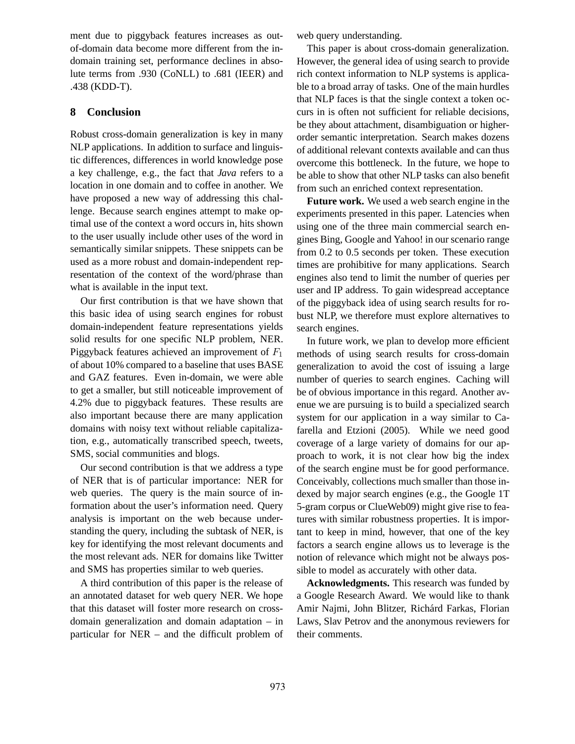ment due to piggyback features increases as outof-domain data become more different from the indomain training set, performance declines in absolute terms from .930 (CoNLL) to .681 (IEER) and .438 (KDD-T).

# **8 Conclusion**

Robust cross-domain generalization is key in many NLP applications. In addition to surface and linguistic differences, differences in world knowledge pose a key challenge, e.g., the fact that *Java* refers to a location in one domain and to coffee in another. We have proposed a new way of addressing this challenge. Because search engines attempt to make optimal use of the context a word occurs in, hits shown to the user usually include other uses of the word in semantically similar snippets. These snippets can be used as a more robust and domain-independent representation of the context of the word/phrase than what is available in the input text.

Our first contribution is that we have shown that this basic idea of using search engines for robust domain-independent feature representations yields solid results for one specific NLP problem, NER. Piggyback features achieved an improvement of  $F_1$ of about 10% compared to a baseline that uses BASE and GAZ features. Even in-domain, we were able to get a smaller, but still noticeable improvement of 4.2% due to piggyback features. These results are also important because there are many application domains with noisy text without reliable capitalization, e.g., automatically transcribed speech, tweets, SMS, social communities and blogs.

Our second contribution is that we address a type of NER that is of particular importance: NER for web queries. The query is the main source of information about the user's information need. Query analysis is important on the web because understanding the query, including the subtask of NER, is key for identifying the most relevant documents and the most relevant ads. NER for domains like Twitter and SMS has properties similar to web queries.

A third contribution of this paper is the release of an annotated dataset for web query NER. We hope that this dataset will foster more research on crossdomain generalization and domain adaptation – in particular for NER – and the difficult problem of web query understanding.

This paper is about cross-domain generalization. However, the general idea of using search to provide rich context information to NLP systems is applicable to a broad array of tasks. One of the main hurdles that NLP faces is that the single context a token occurs in is often not sufficient for reliable decisions, be they about attachment, disambiguation or higherorder semantic interpretation. Search makes dozens of additional relevant contexts available and can thus overcome this bottleneck. In the future, we hope to be able to show that other NLP tasks can also benefit from such an enriched context representation.

**Future work.** We used a web search engine in the experiments presented in this paper. Latencies when using one of the three main commercial search engines Bing, Google and Yahoo! in our scenario range from 0.2 to 0.5 seconds per token. These execution times are prohibitive for many applications. Search engines also tend to limit the number of queries per user and IP address. To gain widespread acceptance of the piggyback idea of using search results for robust NLP, we therefore must explore alternatives to search engines.

In future work, we plan to develop more efficient methods of using search results for cross-domain generalization to avoid the cost of issuing a large number of queries to search engines. Caching will be of obvious importance in this regard. Another avenue we are pursuing is to build a specialized search system for our application in a way similar to Cafarella and Etzioni (2005). While we need good coverage of a large variety of domains for our approach to work, it is not clear how big the index of the search engine must be for good performance. Conceivably, collections much smaller than those indexed by major search engines (e.g., the Google 1T 5-gram corpus or ClueWeb09) might give rise to features with similar robustness properties. It is important to keep in mind, however, that one of the key factors a search engine allows us to leverage is the notion of relevance which might not be always possible to model as accurately with other data.

**Acknowledgments.** This research was funded by a Google Research Award. We would like to thank Amir Najmi, John Blitzer, Richárd Farkas, Florian Laws, Slav Petrov and the anonymous reviewers for their comments.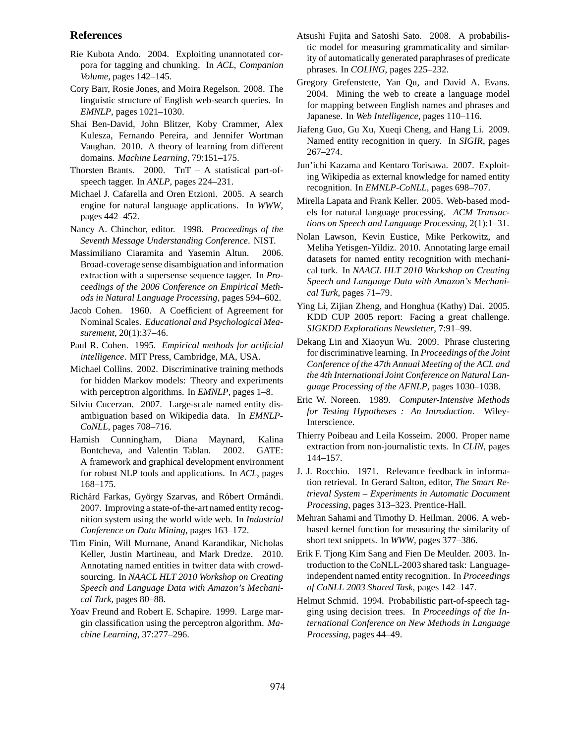### **References**

- Rie Kubota Ando. 2004. Exploiting unannotated corpora for tagging and chunking. In *ACL, Companion Volume*, pages 142–145.
- Cory Barr, Rosie Jones, and Moira Regelson. 2008. The linguistic structure of English web-search queries. In *EMNLP*, pages 1021–1030.
- Shai Ben-David, John Blitzer, Koby Crammer, Alex Kulesza, Fernando Pereira, and Jennifer Wortman Vaughan. 2010. A theory of learning from different domains. *Machine Learning*, 79:151–175.
- Thorsten Brants. 2000. TnT A statistical part-ofspeech tagger. In *ANLP*, pages 224–231.
- Michael J. Cafarella and Oren Etzioni. 2005. A search engine for natural language applications. In *WWW*, pages 442–452.
- Nancy A. Chinchor, editor. 1998. *Proceedings of the Seventh Message Understanding Conference*. NIST.
- Massimiliano Ciaramita and Yasemin Altun. 2006. Broad-coverage sense disambiguation and information extraction with a supersense sequence tagger. In *Proceedings of the 2006 Conference on Empirical Methods in Natural Language Processing*, pages 594–602.
- Jacob Cohen. 1960. A Coefficient of Agreement for Nominal Scales. *Educational and Psychological Measurement*, 20(1):37–46.
- Paul R. Cohen. 1995. *Empirical methods for artificial intelligence*. MIT Press, Cambridge, MA, USA.
- Michael Collins. 2002. Discriminative training methods for hidden Markov models: Theory and experiments with perceptron algorithms. In *EMNLP*, pages 1–8.
- Silviu Cucerzan. 2007. Large-scale named entity disambiguation based on Wikipedia data. In *EMNLP-CoNLL*, pages 708–716.
- Hamish Cunningham, Diana Maynard, Kalina Bontcheva, and Valentin Tablan. 2002. GATE: A framework and graphical development environment for robust NLP tools and applications. In *ACL*, pages 168–175.
- Richárd Farkas, György Szarvas, and Róbert Ormándi. 2007. Improving a state-of-the-art named entity recognition system using the world wide web. In *Industrial Conference on Data Mining*, pages 163–172.
- Tim Finin, Will Murnane, Anand Karandikar, Nicholas Keller, Justin Martineau, and Mark Dredze. 2010. Annotating named entities in twitter data with crowdsourcing. In *NAACL HLT 2010 Workshop on Creating Speech and Language Data with Amazon's Mechanical Turk*, pages 80–88.
- Yoav Freund and Robert E. Schapire. 1999. Large margin classification using the perceptron algorithm. *Machine Learning*, 37:277–296.
- Atsushi Fujita and Satoshi Sato. 2008. A probabilistic model for measuring grammaticality and similarity of automatically generated paraphrases of predicate phrases. In *COLING*, pages 225–232.
- Gregory Grefenstette, Yan Qu, and David A. Evans. 2004. Mining the web to create a language model for mapping between English names and phrases and Japanese. In *Web Intelligence*, pages 110–116.
- Jiafeng Guo, Gu Xu, Xueqi Cheng, and Hang Li. 2009. Named entity recognition in query. In *SIGIR*, pages 267–274.
- Jun'ichi Kazama and Kentaro Torisawa. 2007. Exploiting Wikipedia as external knowledge for named entity recognition. In *EMNLP-CoNLL*, pages 698–707.
- Mirella Lapata and Frank Keller. 2005. Web-based models for natural language processing. *ACM Transactions on Speech and Language Processing*, 2(1):1–31.
- Nolan Lawson, Kevin Eustice, Mike Perkowitz, and Meliha Yetisgen-Yildiz. 2010. Annotating large email datasets for named entity recognition with mechanical turk. In *NAACL HLT 2010 Workshop on Creating Speech and Language Data with Amazon's Mechanical Turk*, pages 71–79.
- Ying Li, Zijian Zheng, and Honghua (Kathy) Dai. 2005. KDD CUP 2005 report: Facing a great challenge. *SIGKDD Explorations Newsletter*, 7:91–99.
- Dekang Lin and Xiaoyun Wu. 2009. Phrase clustering for discriminative learning. In *Proceedings of the Joint Conference of the 47th Annual Meeting of the ACL and the 4th International Joint Conference on Natural Language Processing of the AFNLP*, pages 1030–1038.
- Eric W. Noreen. 1989. *Computer-Intensive Methods for Testing Hypotheses : An Introduction*. Wiley-Interscience.
- Thierry Poibeau and Leila Kosseim. 2000. Proper name extraction from non-journalistic texts. In *CLIN*, pages 144–157.
- J. J. Rocchio. 1971. Relevance feedback in information retrieval. In Gerard Salton, editor, *The Smart Retrieval System – Experiments in Automatic Document Processing*, pages 313–323. Prentice-Hall.
- Mehran Sahami and Timothy D. Heilman. 2006. A webbased kernel function for measuring the similarity of short text snippets. In *WWW*, pages 377–386.
- Erik F. Tjong Kim Sang and Fien De Meulder. 2003. Introduction to the CoNLL-2003 shared task: Languageindependent named entity recognition. In *Proceedings of CoNLL 2003 Shared Task*, pages 142–147.
- Helmut Schmid. 1994. Probabilistic part-of-speech tagging using decision trees. In *Proceedings of the International Conference on New Methods in Language Processing*, pages 44–49.